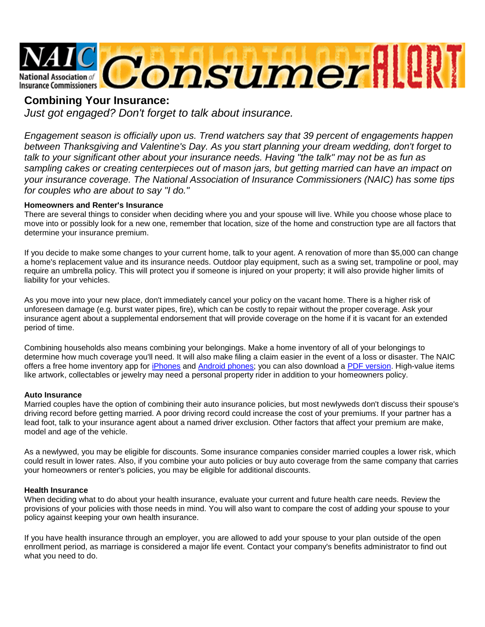

# **Combining Your Insurance:**

*Just got engaged? Don't forget to talk about insurance.*

*Engagement season is officially upon us. Trend watchers say that 39 percent of engagements happen between Thanksgiving and Valentine's Day. As you start planning your dream wedding, don't forget to talk to your significant other about your insurance needs. Having "the talk" may not be as fun as sampling cakes or creating centerpieces out of mason jars, but getting married can have an impact on your insurance coverage. The National Association of Insurance Commissioners (NAIC) has some tips for couples who are about to say "I do."*

## **Homeowners and Renter's Insurance**

There are several things to consider when deciding where you and your spouse will live. While you choose whose place to move into or possibly look for a new one, remember that location, size of the home and construction type are all factors that determine your insurance premium.

If you decide to make some changes to your current home, talk to your agent. A renovation of more than \$5,000 can change a home's replacement value and its insurance needs. Outdoor play equipment, such as a swing set, trampoline or pool, may require an umbrella policy. This will protect you if someone is injured on your property; it will also provide higher limits of liability for your vehicles.

As you move into your new place, don't immediately cancel your policy on the vacant home. There is a higher risk of unforeseen damage (e.g. burst water pipes, fire), which can be costly to repair without the proper coverage. Ask your insurance agent about a supplemental endorsement that will provide coverage on the home if it is vacant for an extended period of time.

Combining households also means combining your belongings. Make a home inventory of all of your belongings to determine how much coverage you'll need. It will also make filing a claim easier in the event of a loss or disaster. The NAIC offers a free home inventory app for *iPhones* and [Android phones;](https://play.google.com/store/apps/details?id=org.naic.scrapbook&feature=search_result) you can also download a [PDF version.](http://www.insureuonline.org/home_inventory_checklist.pdf) High-value items like artwork, collectables or jewelry may need a personal property rider in addition to your homeowners policy.

### **Auto Insurance**

Married couples have the option of combining their auto insurance policies, but most newlyweds don't discuss their spouse's driving record before getting married. A poor driving record could increase the cost of your premiums. If your partner has a lead foot, talk to your insurance agent about a named driver exclusion. Other factors that affect your premium are make, model and age of the vehicle.

As a newlywed, you may be eligible for discounts. Some insurance companies consider married couples a lower risk, which could result in lower rates. Also, if you combine your auto policies or buy auto coverage from the same company that carries your homeowners or renter's policies, you may be eligible for additional discounts.

### **Health Insurance**

When deciding what to do about your health insurance, evaluate your current and future health care needs. Review the provisions of your policies with those needs in mind. You will also want to compare the cost of adding your spouse to your policy against keeping your own health insurance.

If you have health insurance through an employer, you are allowed to add your spouse to your plan outside of the open enrollment period, as marriage is considered a major life event. Contact your company's benefits administrator to find out what you need to do.